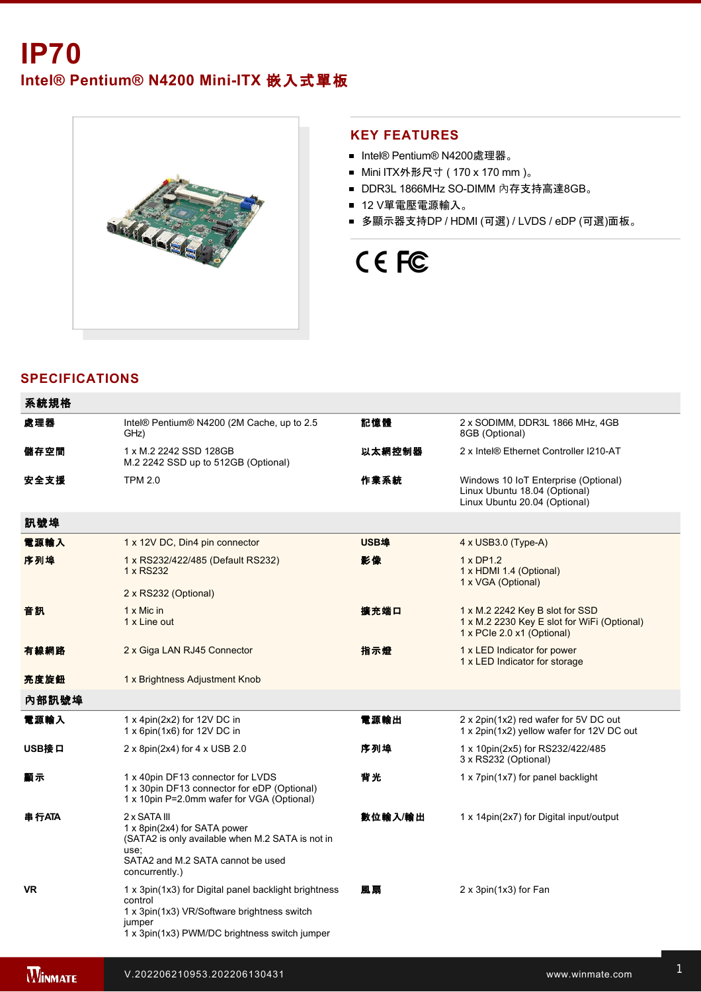Intel® Pentium® N4200 Mini-ITX 嵌入式單板



#### **KEY FEATURES**

- Intel® Pentium® N4200處理器。
- Mini ITX外形尺寸 ( 170 x 170 mm )。
- DDR3L 1866MHz SO-DIMM 內存支持高達8GB。
- 12 V單電壓電源輸入。
- 多顯示器支持DP / HDMI (可選) / LVDS / eDP (可選)面板。

# CE FC

## **SPECIFICATIONS**

| 系統規格      |                                                                                                                                                                           |         |                                                                                                              |
|-----------|---------------------------------------------------------------------------------------------------------------------------------------------------------------------------|---------|--------------------------------------------------------------------------------------------------------------|
| 處理器       | Intel® Pentium® N4200 (2M Cache, up to 2.5<br>GHz)                                                                                                                        | 記憶體     | 2 x SODIMM, DDR3L 1866 MHz, 4GB<br>8GB (Optional)                                                            |
| 儲存空間      | 1 x M.2 2242 SSD 128GB<br>M.2 2242 SSD up to 512GB (Optional)                                                                                                             | 以太網控制器  | 2 x Intel® Ethernet Controller I210-AT                                                                       |
| 安全支援      | <b>TPM 2.0</b>                                                                                                                                                            | 作業系統    | Windows 10 IoT Enterprise (Optional)<br>Linux Ubuntu 18.04 (Optional)<br>Linux Ubuntu 20.04 (Optional)       |
| 訊號埠       |                                                                                                                                                                           |         |                                                                                                              |
| 電源輸入      | 1 x 12V DC, Din4 pin connector                                                                                                                                            | USB埠    | 4 x USB3.0 (Type-A)                                                                                          |
| 序列埠       | 1 x RS232/422/485 (Default RS232)<br>1 x RS232                                                                                                                            | 影像      | 1 x DP1.2<br>1 x HDMI 1.4 (Optional)<br>1 x VGA (Optional)                                                   |
|           | 2 x RS232 (Optional)                                                                                                                                                      |         |                                                                                                              |
| 音訊        | $1 \times$ Mic in<br>1 x Line out                                                                                                                                         | 擴充端口    | 1 x M.2 2242 Key B slot for SSD<br>1 x M.2 2230 Key E slot for WiFi (Optional)<br>1 x PCle 2.0 x1 (Optional) |
| 有線網路      | 2 x Giga LAN RJ45 Connector                                                                                                                                               | 指示燈     | 1 x LED Indicator for power<br>1 x LED Indicator for storage                                                 |
| 亮度旋鈕      | 1 x Brightness Adjustment Knob                                                                                                                                            |         |                                                                                                              |
| 內部訊號埠     |                                                                                                                                                                           |         |                                                                                                              |
| 電源輸入      | 1 x 4pin(2x2) for 12V DC in<br>1 x 6pin(1x6) for 12V DC in                                                                                                                | 電源輸出    | 2 x 2pin(1x2) red wafer for 5V DC out<br>1 x 2pin(1x2) yellow wafer for 12V DC out                           |
| USB接口     | $2 \times 8$ pin(2x4) for 4 x USB 2.0                                                                                                                                     | 序列埠     | 1 x 10pin(2x5) for RS232/422/485<br>3 x RS232 (Optional)                                                     |
| 顯示        | 1 x 40pin DF13 connector for LVDS<br>1 x 30pin DF13 connector for eDP (Optional)<br>1 x 10pin P=2.0mm wafer for VGA (Optional)                                            | 背光      | 1 x 7pin(1x7) for panel backlight                                                                            |
| 串行ATA     | 2 x SATA III<br>1 x 8pin(2x4) for SATA power<br>(SATA2 is only available when M.2 SATA is not in<br>use;<br>SATA2 and M.2 SATA cannot be used<br>concurrently.)           | 數位輸入/輸出 | 1 x 14 pin(2x7) for Digital input/output                                                                     |
| <b>VR</b> | 1 x 3pin(1x3) for Digital panel backlight brightness<br>control<br>1 x 3pin(1x3) VR/Software brightness switch<br>jumper<br>1 x 3pin(1x3) PWM/DC brightness switch jumper | 風扇      | 2 x 3pin(1x3) for Fan                                                                                        |